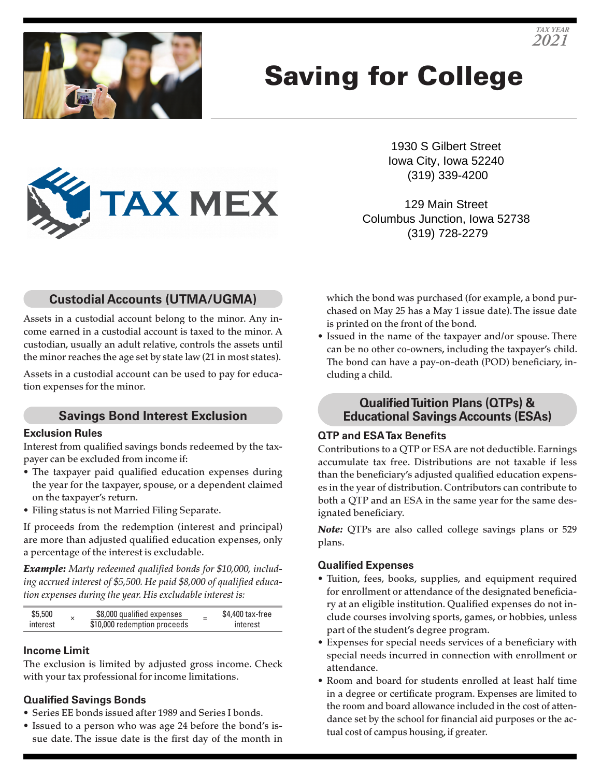

# Saving for College



1930 S Gilbert Street Iowa City, Iowa 52240 (319) 339-4200

129 Main Street Columbus Junction, Iowa 52738 (319) 728-2279

# **Custodial Accounts (UTMA/UGMA)**

Assets in a custodial account belong to the minor. Any income earned in a custodial account is taxed to the minor. A custodian, usually an adult relative, controls the assets until the minor reaches the age set by state law (21 in most states).

Assets in a custodial account can be used to pay for education expenses for the minor.

# **Savings Bond Interest Exclusion**

#### **Exclusion Rules**

Interest from qualified savings bonds redeemed by the taxpayer can be excluded from income if:

- The taxpayer paid qualified education expenses during the year for the taxpayer, spouse, or a dependent claimed on the taxpayer's return.
- Filing status is not Married Filing Separate.

If proceeds from the redemption (interest and principal) are more than adjusted qualified education expenses, only a percentage of the interest is excludable.

*Example: Marty redeemed qualified bonds for \$10,000, including accrued interest of \$5,500. He paid \$8,000 of qualified education expenses during the year. His excludable interest is:*

| \$5,500  | \$8,000 qualified expenses   | $\overline{\phantom{a}}$ | \$4,400 tax-free |
|----------|------------------------------|--------------------------|------------------|
| interest | \$10,000 redemption proceeds |                          | interest         |

## **Income Limit**

The exclusion is limited by adjusted gross income. Check with your tax professional for income limitations.

## **Qualified Savings Bonds**

- Series EE bonds issued after 1989 and Series I bonds.
- Issued to a person who was age 24 before the bond's issue date. The issue date is the first day of the month in

which the bond was purchased (for example, a bond purchased on May 25 has a May 1 issue date). The issue date is printed on the front of the bond.

• Issued in the name of the taxpayer and/or spouse. There can be no other co-owners, including the taxpayer's child. The bond can have a pay-on-death (POD) beneficiary, including a child.

# **Qualified Tuition Plans (QTPs) & Educational Savings Accounts (ESAs)**

## **QTP and ESA Tax Benefits**

Contributions to a QTP or ESA are not deductible. Earnings accumulate tax free. Distributions are not taxable if less than the beneficiary's adjusted qualified education expenses in the year of distribution. Contributors can contribute to both a QTP and an ESA in the same year for the same designated beneficiary.

*Note:* QTPs are also called college savings plans or 529 plans.

## **Qualified Expenses**

- Tuition, fees, books, supplies, and equipment required for enrollment or attendance of the designated beneficiary at an eligible institution. Qualified expenses do not include courses involving sports, games, or hobbies, unless part of the student's degree program.
- Expenses for special needs services of a beneficiary with special needs incurred in connection with enrollment or attendance.
- Room and board for students enrolled at least half time in a degree or certificate program. Expenses are limited to the room and board allowance included in the cost of attendance set by the school for financial aid purposes or the actual cost of campus housing, if greater.